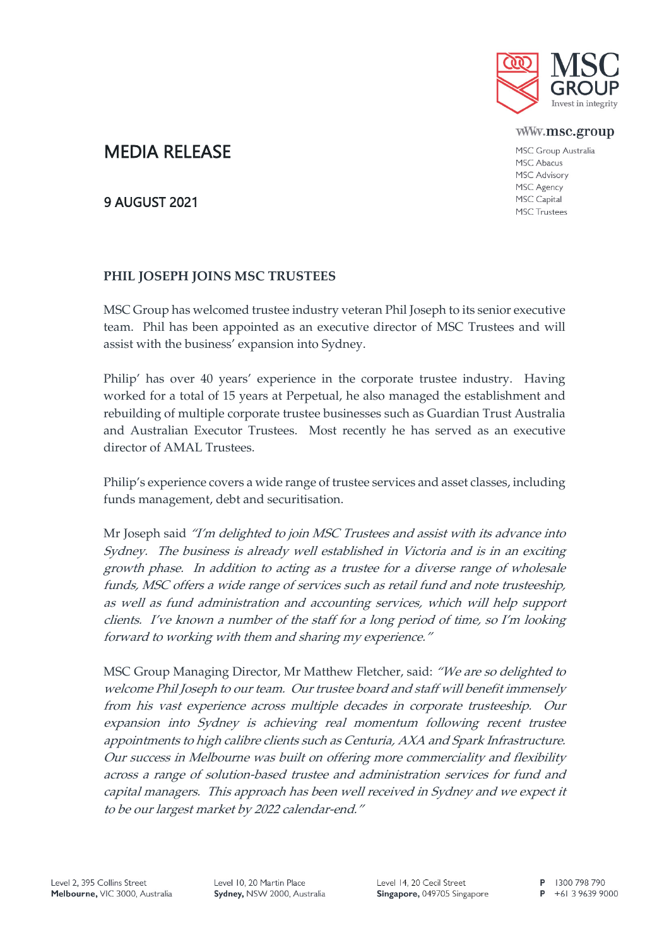

www.msc.group

MSC Group Australia MSC Abacus **MSC Advisory** MSC Agency MSC Capital **MSC Trustees** 

# MEDIA RELEASE

## 9 AUGUST 2021

## **PHIL JOSEPH JOINS MSC TRUSTEES**

MSC Group has welcomed trustee industry veteran Phil Joseph to its senior executive team. Phil has been appointed as an executive director of MSC Trustees and will assist with the business' expansion into Sydney.

Philip' has over 40 years' experience in the corporate trustee industry. Having worked for a total of 15 years at Perpetual, he also managed the establishment and rebuilding of multiple corporate trustee businesses such as Guardian Trust Australia and Australian Executor Trustees. Most recently he has served as an executive director of AMAL Trustees.

Philip's experience covers a wide range of trustee services and asset classes, including funds management, debt and securitisation.

Mr Joseph said "I'm delighted to join MSC Trustees and assist with its advance into Sydney. The business is already well established in Victoria and is in an exciting growth phase. In addition to acting as a trustee for a diverse range of wholesale funds, MSC offers a wide range of services such as retail fund and note trusteeship, as well as fund administration and accounting services, which will help support clients. I've known a number of the staff for a long period of time, so I'm looking forward to working with them and sharing my experience."

MSC Group Managing Director, Mr Matthew Fletcher, said: "We are so delighted to welcome Phil Joseph to our team. Our trustee board and staff will benefit immensely from his vast experience across multiple decades in corporate trusteeship. Our expansion into Sydney is achieving real momentum following recent trustee appointments to high calibre clients such as Centuria, AXA and Spark Infrastructure. Our success in Melbourne was built on offering more commerciality and flexibility across a range of solution-based trustee and administration services for fund and capital managers. This approach has been well received in Sydney and we expect it to be our largest market by 2022 calendar-end."

P 1300 798 790

 $P$  +61 3 9639 9000